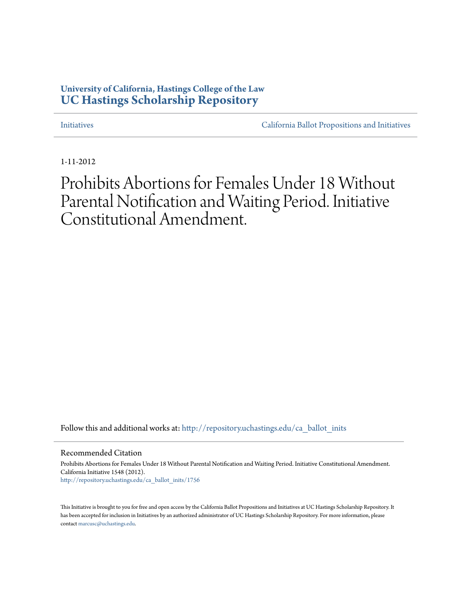# **University of California, Hastings College of the Law [UC Hastings Scholarship Repository](http://repository.uchastings.edu?utm_source=repository.uchastings.edu%2Fca_ballot_inits%2F1756&utm_medium=PDF&utm_campaign=PDFCoverPages)**

[Initiatives](http://repository.uchastings.edu/ca_ballot_inits?utm_source=repository.uchastings.edu%2Fca_ballot_inits%2F1756&utm_medium=PDF&utm_campaign=PDFCoverPages) [California Ballot Propositions and Initiatives](http://repository.uchastings.edu/ca_ballots?utm_source=repository.uchastings.edu%2Fca_ballot_inits%2F1756&utm_medium=PDF&utm_campaign=PDFCoverPages)

1-11-2012

Prohibits Abortions for Females Under 18 Without Parental Notification and Waiting Period. Initiative Constitutional Amendment.

Follow this and additional works at: [http://repository.uchastings.edu/ca\\_ballot\\_inits](http://repository.uchastings.edu/ca_ballot_inits?utm_source=repository.uchastings.edu%2Fca_ballot_inits%2F1756&utm_medium=PDF&utm_campaign=PDFCoverPages)

Recommended Citation

Prohibits Abortions for Females Under 18 Without Parental Notification and Waiting Period. Initiative Constitutional Amendment. California Initiative 1548 (2012). [http://repository.uchastings.edu/ca\\_ballot\\_inits/1756](http://repository.uchastings.edu/ca_ballot_inits/1756?utm_source=repository.uchastings.edu%2Fca_ballot_inits%2F1756&utm_medium=PDF&utm_campaign=PDFCoverPages)

This Initiative is brought to you for free and open access by the California Ballot Propositions and Initiatives at UC Hastings Scholarship Repository. It has been accepted for inclusion in Initiatives by an authorized administrator of UC Hastings Scholarship Repository. For more information, please contact [marcusc@uchastings.edu](mailto:marcusc@uchastings.edu).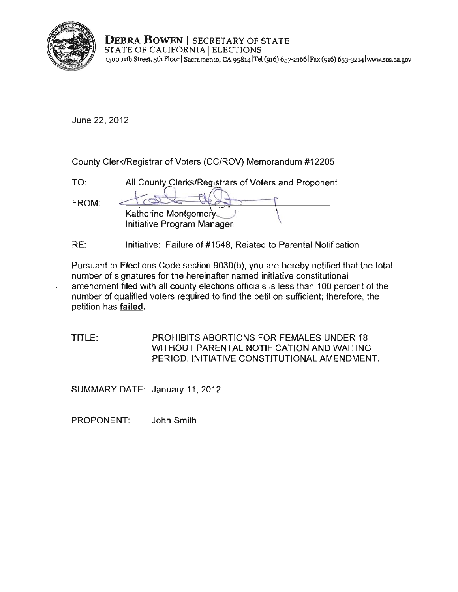

**DEBRA BOWEN** SECRETARY OF STATE **DEBRA DOWEN** | SECRETARY OF S<br>STATE OF CALIFORNIA | ELECTIONS **1500 nth Street, sth Floor I Sacramento, CA 9s8141Tel (916) 657-21661 Fax (916) 653-32L4lwww.sos.ca.go v** 

June 22, 2012

County Clerk/Registrar of Voters (CC/ROV) Memorandum #12205

| TO.   | All County Clerks/Registrars of Voters and Proponent |
|-------|------------------------------------------------------|
| FROM: | Katherine Montgomery.<br>Initiative Program Manager  |

RE: Initiative: Failure of #1548, Related to Parental Notification

Pursuant to Elections Code section 9030(b), you are hereby notified that the total **number of signatures for the hereinafter named initiative constitutional**  amendment filed with all county elections officials is less than 100 percent of the number of qualified voters required to find the petition sufficient; therefore, the petition has **failed**.

TITLE: PROHIBITS ABORTIONS FOR FEMALES UNDER 18 WITHOUT PARENTAL NOTIFICATION AND WAITING PERIOD. INITIATIVE CONSTITUTIONAL AMENDMENT.

SUMMARY DATE: January 11, 2012

PROPONENT: John Smith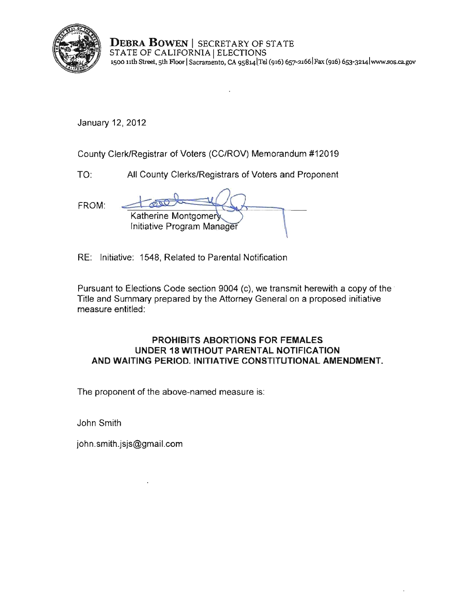

**DEBRA BOWEN** I SECRETARY OF STATE STATE OF CALIFORNIA | ELECTIONS **1500 nth Street, sth Floor I Sacramento, CA 9S814 lTei (916) 657-2166 1 Fax (916) 6s3-3214lwww.sos.ca.gov** 

January 12, 2012

County Clerk/Registrar of Voters (CC/ROV) Memorandum #12019

TO: All County Clerks/Registrars of Voters and Proponent

FROM:

| Katherine Montgomery<br>Initiative Program Manager |  |
|----------------------------------------------------|--|

RE: Initiative: 1548, Related to Parental Notification

Pursuant to Elections Code section 9004 (c), we transmit herewith a copy of the Title and Summary prepared by the Attorney General on a proposed initiative measure entitled:

# **PROHIBITS ABORTIONS FOR FEMALES UNDER 18 WITHOUT PARENTAL NOTIFICATION AND WAITING PERIOD. INITIATIVE CONSTITUTIONAL AMENDMENT.**

**The proponent of the above-named measure is:** 

John Smith

john.smith.jsjs@gmail.com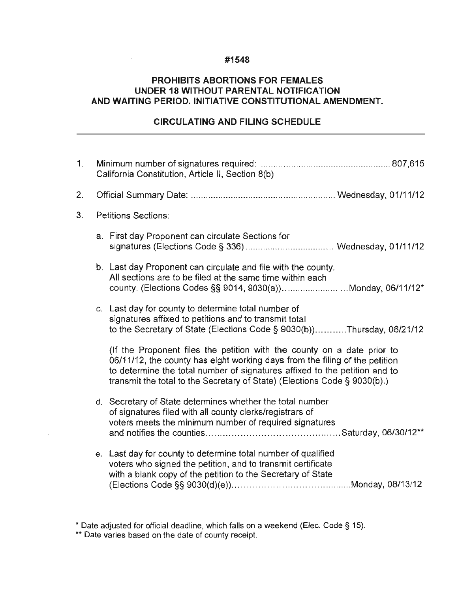### **#1548**

 $\mathcal{L}^{\text{max}}$  and

### **PROHIBITS ABORTIONS FOR FEMALES UNDER 18 WITHOUT PARENTAL NOTIFICATION AND WAITING PERIOD. INITIATIVE CONSTITUTIONAL AMENDMENT.**

## **CIRCULATING AND FILING SCHEDULE**

| 1. | California Constitution, Article II, Section 8(b) |                                                                                                                                                                                                                                                                                                                   |  |
|----|---------------------------------------------------|-------------------------------------------------------------------------------------------------------------------------------------------------------------------------------------------------------------------------------------------------------------------------------------------------------------------|--|
| 2. |                                                   |                                                                                                                                                                                                                                                                                                                   |  |
| 3. | <b>Petitions Sections:</b>                        |                                                                                                                                                                                                                                                                                                                   |  |
|    |                                                   | a. First day Proponent can circulate Sections for                                                                                                                                                                                                                                                                 |  |
|    |                                                   | b. Last day Proponent can circulate and file with the county.<br>All sections are to be filed at the same time within each<br>county. (Elections Codes §§ 9014, 9030(a))Monday, 06/11/12*                                                                                                                         |  |
|    |                                                   | c. Last day for county to determine total number of<br>signatures affixed to petitions and to transmit total<br>to the Secretary of State (Elections Code § 9030(b))Thursday, 06/21/12                                                                                                                            |  |
|    |                                                   | (If the Proponent files the petition with the county on a date prior to<br>06/11/12, the county has eight working days from the filing of the petition<br>to determine the total number of signatures affixed to the petition and to<br>transmit the total to the Secretary of State) (Elections Code § 9030(b).) |  |
|    |                                                   | d. Secretary of State determines whether the total number<br>of signatures filed with all county clerks/registrars of<br>voters meets the minimum number of required signatures                                                                                                                                   |  |
|    |                                                   | e. Last day for county to determine total number of qualified<br>voters who signed the petition, and to transmit certificate<br>with a blank copy of the petition to the Secretary of State                                                                                                                       |  |

• Date adjusted for official deadline, which falls on a weekend (Elec. Code § 15).

**\*\* Date varies based on the date of county receipt.** 

J.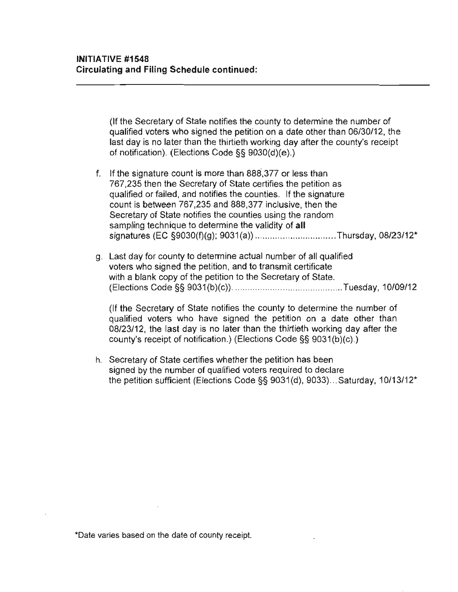(If the Secretary of State notifies the county to determine the number of qualified voters who signed the petition on a date other than 06/30/12, the last day is no later than the thirtieth working day after the county's receipt of notification). (Elections Code §§ 9030(d)(e).)

- f. If the signature count is more than 888,377 or less than 767,235 then the Secretary of State certifies the petition as qualified or failed, and notifies the counties. If the signature count is between 767,235 and 888,377 inclusive, then the Secretary of State notifies the counties using the random sampling technique to determine the validity of **all**  signatures (EC §9030(f)(g); 9031 (a)) ................................ Thursday, 08/23/12'
- g. Last day for county to determine actual number of all qualified voters who signed the petition, and to transmit certificate with a blank copy of the petition to the Secretary of State. (Elections Code §§ 9031 (b)(c)) .. .... ........... .... ....................... Tuesday, 10109/12

(If the Secretary of State notifies the county to determine the number of qualified voters who have signed the petition on a date other than 08/23/12, the last day is no later than the thirtieth working day after the county's receipt of notification.) (Elections Code §§ 9031 (b)(c).)

h. Secretary of State certifies whether the petition has been signed by the number of qualified voters required to declare the petition sufficient (Elections Code §§ 9031(d), 9033) ... Saturday, 10/13/12'

**<sup>\*</sup>Date varies based on the date of county receipt.**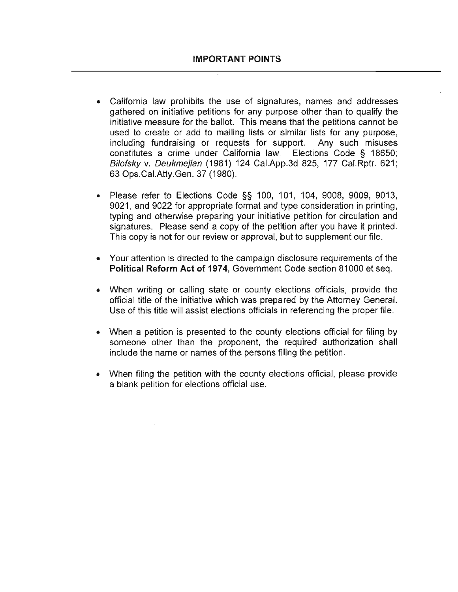- **California law prohibits the use of signatures, names and addresses**  gathered on initiative petitions for any purpose other than to qualify the initiative measure for the ballot. This means that the petitions cannot be used to create or add to mailing lists or similar lists for any purpose, including fundraising or requests for support. Any such misuses constitutes a crime under California law. Elections Code § 18650; Bilofsky v. Deukmejian (1981) 124 Cal.App.3d 825, 177 Cal.Rptr. 621; 63 Ops.CaI.Atty.Gen. 37 (1980).
- Please refer to Elections Code §§ 100, 101, 104, 9008, 9009, 9013, 9021, and 9022 for appropriate format and type consideration in printing, typing and otherwise preparing your initiative petition for circulation and signatures. Please send a copy of the petition after you have it printed. This copy is not for our review or approval, but to supplement our file.
- Your attention is directed to the campaign disclosure requirements of the Political Reform Act of 1974, Government Code section 81000 et seq.
- When writing or calling state or county elections officials, provide the official title of the initiative which was prepared by the Attorney General. Use of this tille will assist elections officials in referencing the proper file.
- When a petition is presented to the county elections official for filing by someone other than the proponent, the required authorization shall include the name or names of the persons filing the petition.
- When filing the petition with the county elections official, please provide a blank petition for elections official use.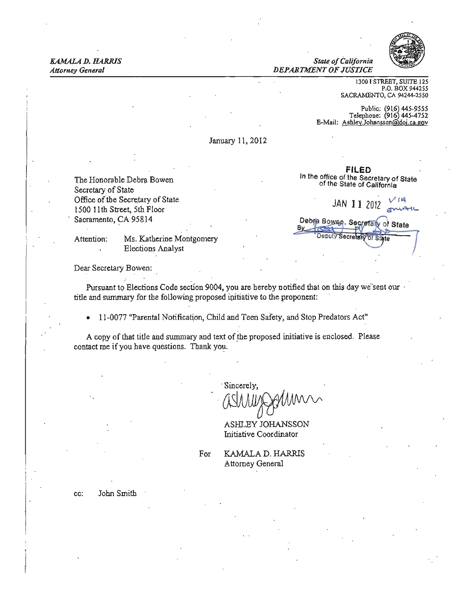**KAMALA D. HARRIS State of California** *State of California Attorney General DEPARTMENT OF JUSTICE* 



1300 I STREET. SUITE 125 P.O. BOX 944255 SACRAMENTO, CA 94244-2550

Public: (916) 445-9555 Telephone: (916) 445-4752<br>Telephone: (916) 445-4752<br>E-Mail: Ashley Johansson@goi.ca.gov

January 11,2012

The Humorable Debra Bowen<br>Secretary of State

FILED The Honorable Debra Bowen In the office of the Secretary of State

Office of the Secretary of State JAN 11 2012  $\frac{V}{\epsilon}$  1500 11th Street, 5th Floor Sacramento, CA 95814 . Sacramento, CA 95814 . Sacramento, CA 95814 . Sacramento, CA 95814 . Sacramento State Attention: Ms. Katherine Montgomery Manuscriptus of the Control of Control of the Montgomery

Elections Analyst

Dear Secretary Bowen:

Pursuant to Elections Code section 9004, you are hereby notified that on this day we'sent our title and summary for the following proposed ipitiative to the proponent:

• 11-0077 "Parental Notification, Child and Teen Safety, and Stop Predators Act"

A copy of that title and summary and text of the proposed initiative is enclosed. Please contact me if you have questions. Thank you.

Sincerely.

ASHLEY JOHANSSON Initiative Coordinator

Attorney General

For **KAMALA D. HARRIS** 

cc: John Smith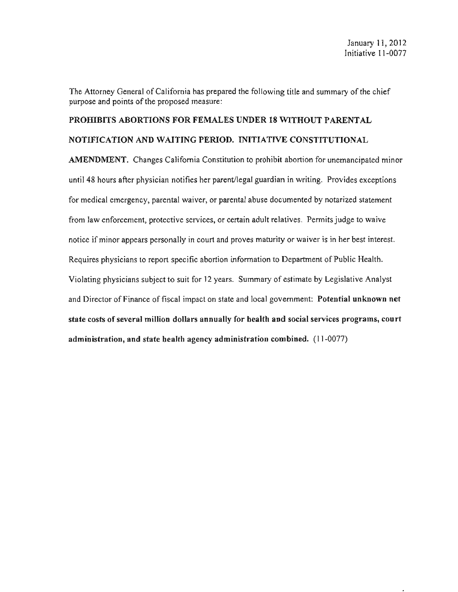The Attorney General of California has prepared the following title and summary of the chief purpose and points of the proposed measure:

# PROHIBITS ABORTIONS FOR FEMALES UNDER 18 WITHOUT PARENTAL

## NOTIFICATION AND WAITING PERIOD. INITIATIVE CONSTITUTIONAL

AMENDMENT. Changes California Constitution to prohibit abortion for unemancipated minor until 48 hours after physician notifies her parent/legal guardian in writing. Provides exceptions for medical emergency, parental waiver, or parental abuse documented by notarized statement from law enforcement, protective services, or certain adult relatives. Permits judge to waive notice if minor appears personally in court and proves maturity or waiver is in her best interest. Requires physicians to report specific abortion information to Department of Public Health. Violating physicians subject to suit for 12 years. Summary of estimate by Legislative Analyst and Director of Finance of fiscal impact on state and local government: Potential unknown net state costs of several million dollars annually for health and social services programs, court administration, and state health agency administration combined. (11-0077)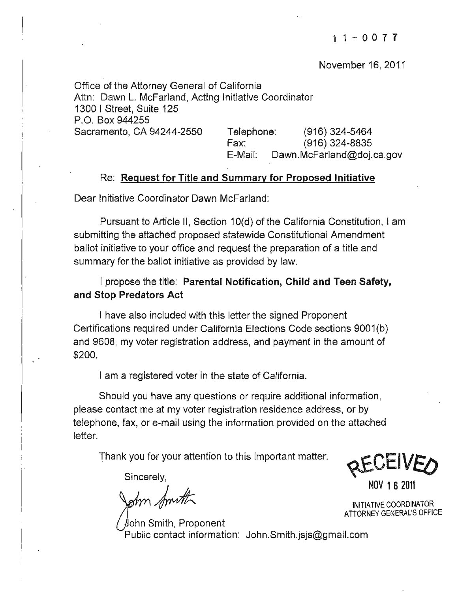November 16, 2011

Office of the Attorney General of California Attn: Dawn L. McFarland, Acting Initiative Coordinator 1300 I Street, Suite 125 P.O. Box 944255 Sacramento, CA 94244-2550 Telephone: (916) 324-5464 Fax: (916) 324-8835 E-Mail: [Dawn.McFarland@doj.ca.gov](mailto:Dawn.McFarland@doj.ca.gov) 

# Re: Request for Title and Summary for Proposed Initiative

Dear Initiative Coordinator Dawn McFarland:

Pursuant to Article II, Section 10(d) of the California Constitution, I am submitting the attached proposed statewide Constitutional Amendment ballot initiative to your office and request the preparation of a title and summary for the ballot initiative as provided by law.

I propose the title: Parental Notification. Child and Teen Safety. and Stop Predators Act

I have also included with this letter the signed Proponent Certifications required under California Elections Code sections 9001(b) and 9608, my voter registration address, and payment in the amount of \$200.

I am a registered voter in the state of California.

Should you have any questions or require additional information, please contact me at my voter registration residence address, or by telephone, fax, or e-mail using the information provided on the attached letter.

Thank you for your attention to this important matter.

Sincerely,<br>
a: NOV 1 6 2011<br>
a: NOV 1 6 2011<br>
a: NOV 1 6 2011<br>
ATTORNEY GENERAL'S

Public contact information: John.Smith.jsjs@gmail.com

Sincerely, Sincerely,

INITIATIVE COORDINATOR ATTORNEY GENERAL'S OFFICE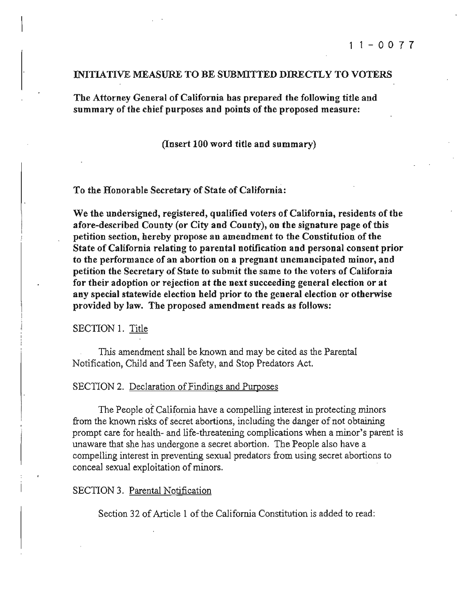### INITIATIVE MEASURE TO BE SUBMITTED DIRECTLY TO VOTERS

The Attorney General of California has prepared the following title and summary of the chief purposes and points of the proposed measure:

#### (Insert 100 word title and summary)

To the Honorable Secretary of State of California:

We the undersigned, registered, qualified voters of California, residents of the afore-described County (or City and County), on the signature page of this petition section, hereby propose an amendment to the Constitution of the State of California relating to parental notification and personal consent prior **to the performance** of an **abortion on a pregnant unemancipated minor, and**  petition the Secretary of State to submit the same to the voters of California for their adoption or rejection at the next succeeding general election or at any special statewide election held prior to the general election or otherwise provided by law. The proposed amendment reads as follows:

#### SECTION 1. Title

This amendment shaIl be known and may be cited as the Parental Notification, Child and Teen Safety, and Stop Predators Act.

#### SECTION 2. Declaration of Findings and Purposes

The People of California have a compelling interest in protecting minors from the known risks of secret abortions, including the danger of not obtaining prompt care for health- and life-threatening complications when a minor's parent is unaware that she has undergone a secret abortion. The People also have a compelling interest in preventing sexual predators from using secret abortions to conceal sexual exploitation of minors. .

#### SECTION 3. Parental Notification

Section 32 of Article 1 of the California Constitution is added to read: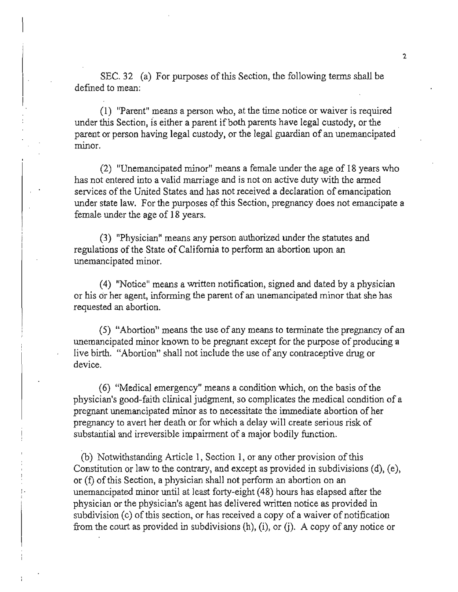SEC. 32 (a) For purposes of this Section, the following terms shall be defined to mean:

**(1) "Parentl! means a person who, at the time notice or waiver is required**  under this Section, is either a parent if both parents have legal custody, or the parent or person having legal custody, or the legal guardian of an unemancipated **minor.** 

(2) "Unemancipated minor" means a female under the age of 18 years who has not entered into a valid marriage and is not on active duty with the armed services of the United States and has not received a declaration of emancipation under state law. For the pwposes qf this Section, pregnancy does not emancipate a female under the age of 18 years.

(3) "Physician" means any person authorized under the statutes and regulations of the State of California to perform an abortion upon an **unemancipated minor.** 

(4) "Notice" means a written notification, signed and dated by a physician or his or her agent, informing the parent of an unemancipated minor that she has requested an abortion.

(5) "Abortion" means the use of any means to terminate the pregnancy of an unemancipated minor known to be pregnant except for the purpose of producing a live birth. "Abortion" shall not include the use of any contraceptive drug or device.

(6) "Medical emergency" means a condition which, on the basis of the physician's good-faith clinical judgment, so complicates the medical condition of a pregnant unemancipated minor as to necessitate the immediate abortion of her pregnancy to avert her death or for which a delay will create serious risk of substantial and irreversible impairment of a major bodily function.

(b) Notwithstanding Article 1, Section I, or any other provision of this Constitution or law to the contrary, and except as provided in subdivisions  $(d)$ ,  $(e)$ , or (I) of this Section, a physician shall not perform an abortion on an unemancipated minor until at least forty-eight (48) hours has elapsed after the physician or the physician's agent has delivered written notice as provided in subdivision (c) of this section, or has received a copy of a waiver of notification from the court as provided in subdivisions  $(h)$ ,  $(i)$ , or  $(i)$ . A copy of any notice or

,.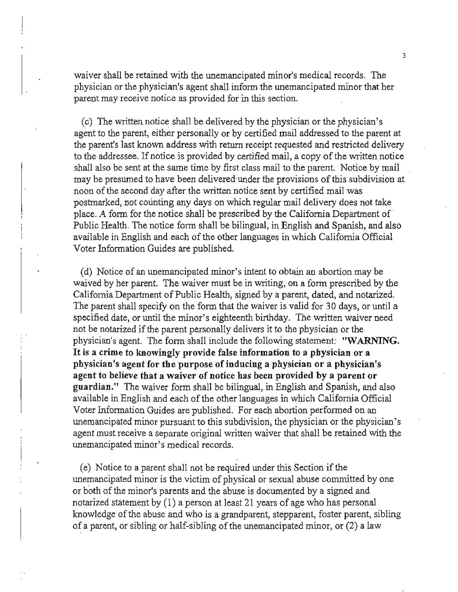waiver shall be retained with the unemancipated minor's medical records. The physician or the physician's agent shall inform the unemancipated minor that her **parent may receive notice as provided for in this section.** 

(c) The written notice shall be delivered by the physician or the physician's agent to the parent, either personally or by certified mail addressed to the parent at the parent's last known address with return receipt requested and restricted delivery to the addressee. If notice is provided by certified mail, a copy of the written notice shall also be sent at the same time by first class mail to the parent. Notice by mail may be presumed to have been delivered-under the provisions ofthis subdivision at noon of the second day after the written notice sent by certified mail was postmarked, not counting any days on which regular mail delivery does not take place. A form for the notice shall be prescribed by the California Department of Public Health. The notice form shall be bilingual, in English and Spanish, and also available in English and each of the other languages in which California Official Voter Information Guides are published.

(d) Notice of an unemancipated minor's intent to obtain an abortion may be waived by her parent. The waiver must be in writing, on a form prescribed by the California Department of Public Health, signed by a parent, dated, and notarized. The parent shall specify on the form that the waiver is valid for 30 days, or until a specified date, or until the minor's eighteenth birthday. The written waiver need not be notarized if the parent personally delivers it to the physician or the physician's agent. The form shall include the following statement: "WARNING. **It is a crime to knowingly provide false information to a pbysician or a**  physician's agent for the purpose ofinducing a physician or a physician's agent to believe that a waiver of notice has been provided by a parent or guardian." The waiver form shall be bilingual, in English and Spanish, and also available in English and each of the other languages in which California Official Voter Information Guides are published. For each abortion performed on an unemancipated minor pursuant to this subdivision, the physician or the physician's agent must receive a separate original written waiver that shall be retained with the **unemancipated minor's medical records.** 

(e) Notice to a parent shall not be required under this Section if the unemancipated minor is the victim of physical or sexual abuse committed by one or both of the minor's parents and the abuse is documented by a signed and notarized statement by (1) a person at least 21 years of age who has personal knowledge of the abuse and who is a grandparent, stepparent, foster parent, sibling of a parent, or sibling or half-sibling of the unemancipated minor, or  $(2)$  a law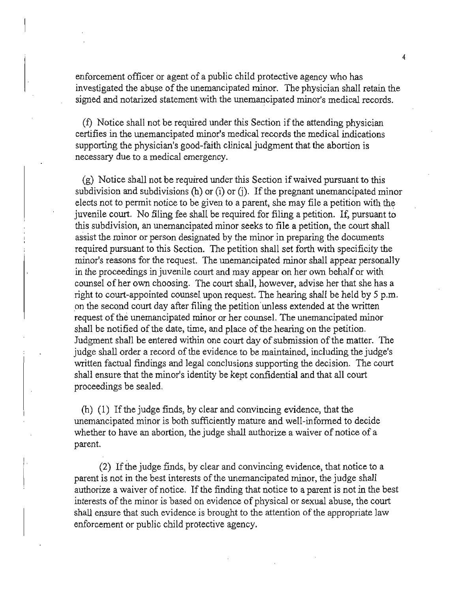enforcement officer or agent of a public child protective agency who has investigated the abuse of the unemancipated minor. The physician shall retain the **signed and notarized statement with the unemancipated minor's medical records.** 

(1) Notice shall not be required under this Section if the attending physician **certifies in the unemancipated minor's medical records the medical indications**  supporting the physician's good-faith clinical judgment that the abortion is **necessary due to a medical emergency.** 

(g) Notice shall not be required under this Section ifwaived pursuant to this subdivision and subdivisions  $(h)$  or  $(i)$  or  $(i)$ . If the pregnant unemancipated minor elects not to permit notice to be given to a parent, she may file a petition with the juvenile court. No filing fee shall be required for filing a petition. If, pursuant to this subdivision, an unemancipated minor seeks to file a petition, the court shall assist the minor or person designated by the minor in preparing the documents required pursuant to this Section. The petition shall set forth with specificity the minor's reasons for the request. The unemancipated minor shall appear personally in the proceedings in juvenile court and may appear on her own behalf or with counsel of her own choosing. The court shall, however, advise her that she has a right to court-appointed counsel upon request. The hearing shall be held by 5 p.m. on the second court day after filing the petition unless extended at the written request of the unemancipated minor or her counsel. The unemancipated minor shall be notified of the date, time, and place of the hearing on the petition. Judgment shall be entered within one court day of submission of the matter. The judge shall order a record of the evidence to be maintained, including the judge's written factual fmdings and legal conclusions supporting the decision. The court shall ensure that the minor's identity be kept confidential and that all court proceedings be sealed.

(h) (1) Ifthe judge finds, by clear and convincing evidence, that the unemancipated minor is both sufficiently mature and well-informed to decide whether to have an abortion, the judge shall authorize a waiver of notice of a parent.

(2) Ifthe judge fmds, by clear and convincing evidence, that notice to a parent is not in the best interests of the unemancipated minor, the judge shall authorize a waiver of notice. If the finding that notice to a parent is not in the best interests of the minor is based on evidence of physical or sexual abuse, the court shall ensure that such evidence is brought to the attention of the appropriate law enforcement or public child protective agency.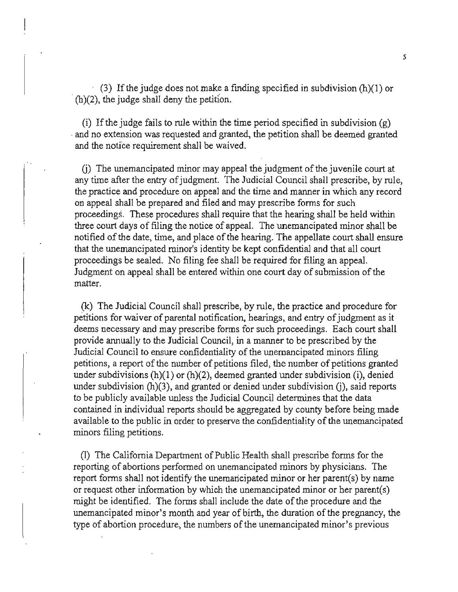(3) If the judge does not make a finding specified in subdivision  $(h)(1)$  or  $(h)(2)$ , the judge shall deny the petition.

(i) If the judge fails to rule within the time period specified in subdivision  $(g)$ and no extension was requested and granted, the petition shall be deemed granted and the notice requirement shall be waived.

G) The unemancipated minor may appeal the judgment ofthe juvenile court at any time after the entry of judgment. The Judicial Council shall prescribe, by rule, the practice and procedure on appeal and the time and manner in which any record on appeal shall be prepared and filed and may prescribe forms for such proceedings. These procedures shall require that the hearing shall be held within three court days of filing the notice of appeal. The unemancipated minor shall be notified of the date, time, and place of the hearing. The appellate court shall ensure that the unemancipated minor's identity be kept confidential and that all court proceedings be sealed. No filing fee shall be required for filing an appeal. Judgment on appeal shall be entered within one court day of submission of the matter.

(k) The Judicial Council shall prescribe, by rule, the practice and procedure for petitions for waiver of parental notification, hearings, and entry of judgment as it deems necessary and may prescribe forms for such proceedings. Each court shall provide annually to the Judicial Council, in a manner to be prescribed by the Judicial Council to ensure confidentiality of the unemancipated minors filing petitions, a report of the number of petitions filed, the number of petitions granted under subdivisions  $(h)(1)$  or  $(h)(2)$ , deemed granted under subdivision (i), denied under subdivision (h)(3), and granted or denied under subdivision (j), said reports to be publicly available unless the Judicial Council determines that the data contained in individual reports should be aggregated by county before being made available to the public in order to preserve the confidentiality of the unemancipated minors filing petitions.

(1) The California Department of Public Health shall prescribe forms for the reporting of abortions performed on unemancipated minors by physicians. The report forms shall not identify the unemanicipated minor or her parent(s) by name or request other information by which the unemancipated minor or her parent(s) might be identified. The forms shall include the date ofthe procedure and the unemancipated minor's month and year of birth, the duration of the pregnancy, the type of abortion procedure, the numbers of the unemancipated minor's previous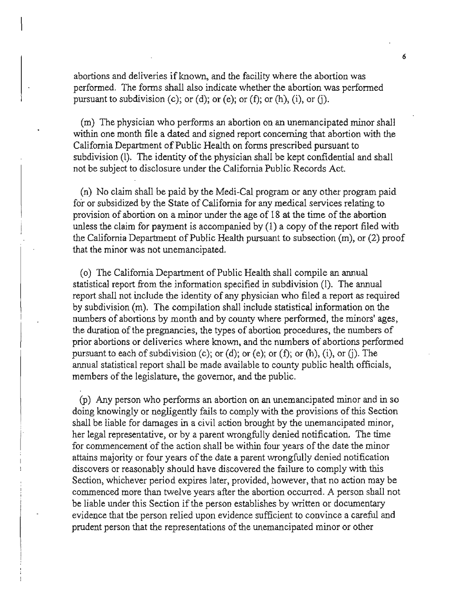abortions and deliveries if known, and the facility where the abortion was performed. The forms shall also indicate whether the abortion was performed pursuant to subdivision (c); or (d); or (e); or (f); or (h), (i), or (j).

(m) The physician who performs an abortion on an unemancipated minor shall within one month file a dated and signed report conceming that abortion with the California Department of Public Health on forms prescribed pursuant to subdivision (I). The identity of the physician shall be kept confidential and shall not be subject to disclosure under the California Public Records Act.

(n) No claim shall be paid by the Medi-Cal program or any other program paid for or subsidized by the State of California for any medical services relating to provision of abortion on a minor under the age of 18 at the time of the abortion unless the claim for payment is accompanied by  $(1)$  a copy of the report filed with the California Department of Public Health pursuant to subsection  $(m)$ , or  $(2)$  proof that the minor was not unemancipated.

(o) The California Department of Public Health shall compile an annual statistical report from the information specified in subdivision (I). The annual report shall not include the identity of any physician who filed a report as required by subdivision (m). The compilation shall include statistical information on the numbers of abortions by month and by county where performed, the minors' ages, the duration of the pregnancies, the types of abortion procedures, the numbers of prior abortions or deliveries where known, and the numbers of abortions performed pursuant to each of subdivision (c); or (d); or (e); or (f); or (h), (i), or (j). The annual statistical report shall be made available to county public health officials, members of the legislature, the governor, and the public.

(P) Any person who performs an abortion on an unemancipated minor and in so doing knowingly or negligently fails to comply with the provisions of this Section shall be liable for damages in a civil action brought by the unemancipated minor, her legal representative, or by a parent wrongfully denied notification. The time for commencement of the action shall be within four years of the date the minor attains majority or four years of the date a parent wrongfully denied notification discovers or reasonably should have discovered the failure to comply with this Section, whichever period expires later, provided, however, that no action may be commenced more than twelve years after the abortion occurred. A person shall not be liable under this Section if the person establishes by written or documentary evidence that the person relied upon evidence sufficient to convince a careful and prudent person that the representations of the unemancipated minor or other

6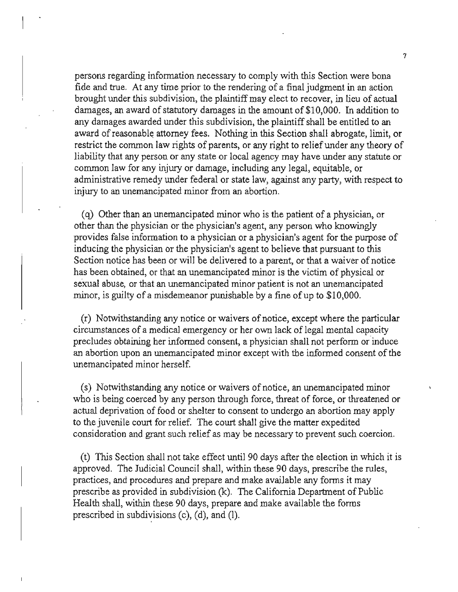persons regarding information necessary to comply with this Section were bona fide and true. At any time prior to the rendering of a final judgment in an action brought under this subdivision, the plaintiff may elect to recover, in lieu of actual damages, an award of statutory damages in the amount of \$10,000. In addition to any damages awarded under this subdivision, the plaintiff shall be entitled to an award ofreasonable attorney fees. Nothing in this Section shall abrogate, limit, or restrict the common law rights of parents, or any right to relief under any theory of liability that any person or any state or local agency may have under any statute or common law for any injury or damage, including any legal, equitable, or administrative remedy under federal or state law, against any party, with respect to injury to an unemancipated minor from an abortion.

(q) Other than an unemancipated minor who is the patient of a physician, or other than the physician or the physician's agent, any person who knowingly provides false information to a physician or a physician's agent for the purpose of inducing the physician or the physician's agent to believe that pursuant to this Section notice has been or will be delivered to a parent, or that a waiver of notice has been obtained, or that an unemancipated minor is the victim of physical or sexual abuse, or that an unemancipated minor patient is not an unemancipated minor, is guilty of a misdemeanor punishable by a fine of up to \$10,000.

(r) Notwithstanding any notice or waivers ofnotice, except where the particular circumstances of a medical emergency or her own lack of legal mental capacity precludes obtaining her informed consent, a physician shall not perform or induce an abortion upon an unemancipated minor except with the informed consent of the unemancipated minor herself.

(s) Notwithstanding any notice or waivers of notice, an unemancipated minor who is being coerced by any person through force, threat of force, or threatened or actual deprivation of food or shelter to consent to undergo an abortion may apply to the juvenile court for relief. The court shall give the matter expedited consideration and grant such relief as may be necessary to prevent such coercion.

(t) This Section shall not take effect until 90 days after the election in which it is approved. The Judicial Council shall, within these 90 days, prescribe the rules, practices, and procedures and prepare and make available any forms it may prescribe as provided in subdivision  $(k)$ . The California Department of Public Health shall, within these 90 days, prepare and make available the forms prescribed in subdivisions (c), (d), and (1).